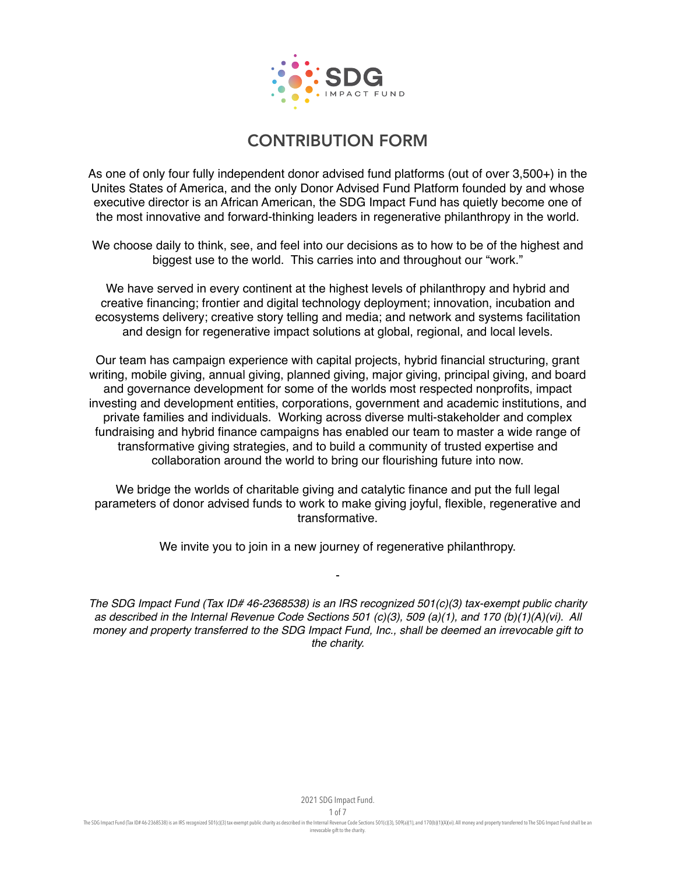

As one of only four fully independent donor advised fund platforms (out of over 3,500+) in the Unites States of America, and the only Donor Advised Fund Platform founded by and whose executive director is an African American, the SDG Impact Fund has quietly become one of the most innovative and forward-thinking leaders in regenerative philanthropy in the world.

We choose daily to think, see, and feel into our decisions as to how to be of the highest and biggest use to the world. This carries into and throughout our "work."

We have served in every continent at the highest levels of philanthropy and hybrid and creative financing; frontier and digital technology deployment; innovation, incubation and ecosystems delivery; creative story telling and media; and network and systems facilitation and design for regenerative impact solutions at global, regional, and local levels.

Our team has campaign experience with capital projects, hybrid financial structuring, grant writing, mobile giving, annual giving, planned giving, major giving, principal giving, and board and governance development for some of the worlds most respected nonprofits, impact investing and development entities, corporations, government and academic institutions, and private families and individuals. Working across diverse multi-stakeholder and complex fundraising and hybrid finance campaigns has enabled our team to master a wide range of transformative giving strategies, and to build a community of trusted expertise and collaboration around the world to bring our flourishing future into now.

We bridge the worlds of charitable giving and catalytic finance and put the full legal parameters of donor advised funds to work to make giving joyful, flexible, regenerative and transformative.

We invite you to join in a new journey of regenerative philanthropy.

-

*The SDG Impact Fund (Tax ID# 46-2368538) is an IRS recognized 501(c)(3) tax-exempt public charity as described in the Internal Revenue Code Sections 501 (c)(3), 509 (a)(1), and 170 (b)(1)(A)(vi). All money and property transferred to the SDG Impact Fund, Inc., shall be deemed an irrevocable gift to the charity.*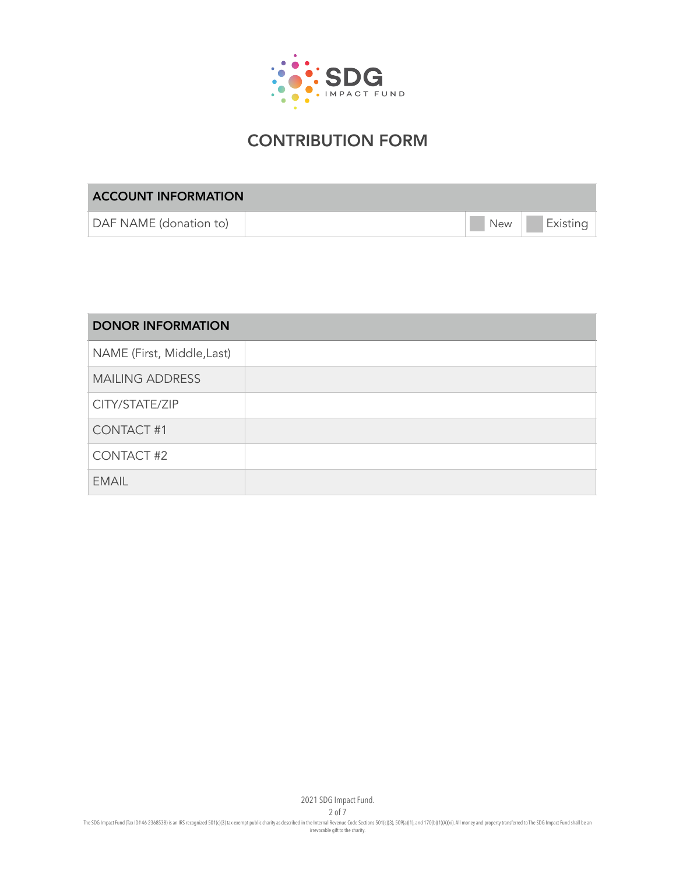

| <b>ACCOUNT INFORMATION</b> |  |     |          |  |
|----------------------------|--|-----|----------|--|
| DAF NAME (donation to)     |  | New | Existing |  |

| <b>DONOR INFORMATION</b>   |  |
|----------------------------|--|
| NAME (First, Middle, Last) |  |
| <b>MAILING ADDRESS</b>     |  |
| CITY/STATE/ZIP             |  |
| <b>CONTACT #1</b>          |  |
| <b>CONTACT #2</b>          |  |
| <b>EMAIL</b>               |  |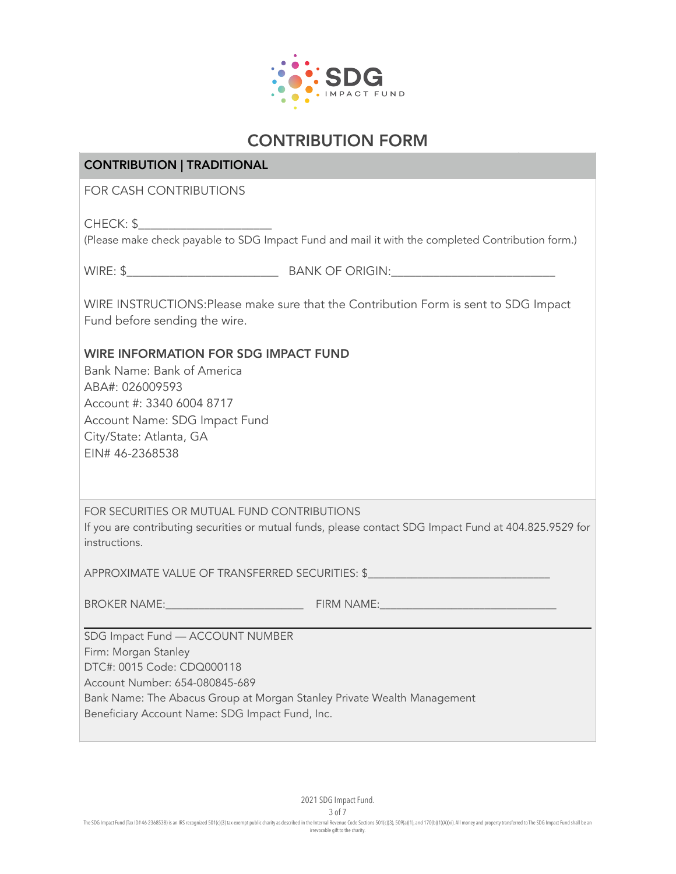

#### CONTRIBUTION | TRADITIONAL

FOR CASH CONTRIBUTIONS

CHECK: \$

(Please make check payable to SDG Impact Fund and mail it with the completed Contribution form.)

WIRE: \$\_\_\_\_\_\_\_\_\_\_\_\_\_\_\_\_\_\_\_\_\_\_\_\_\_ BANK OF ORIGIN:\_\_\_\_\_\_\_\_\_\_\_\_\_\_\_\_\_\_\_\_\_\_\_\_\_\_\_

WIRE INSTRUCTIONS:Please make sure that the Contribution Form is sent to SDG Impact Fund before sending the wire.

WIRE INFORMATION FOR SDG IMPACT FUND

Bank Name: Bank of America ABA#: 026009593 Account #: 3340 6004 8717 Account Name: SDG Impact Fund City/State: Atlanta, GA EIN# 46-2368538

FOR SECURITIES OR MUTUAL FUND CONTRIBUTIONS

If you are contributing securities or mutual funds, please contact SDG Impact Fund at 404.825.9529 for instructions.

APPROXIMATE VALUE OF TRANSFERRED SECURITIES: \$

BROKER NAME: THE STATE STATE STATE STATE STATE STATE STATE STATE STATE STATE STATE STATE STATE STATE STATE STATE STATE STATE STATE STATE STATE STATE STATE STATE STATE STATE STATE STATE STATE STATE STATE STATE STATE STATE S

SDG Impact Fund — ACCOUNT NUMBER Firm: Morgan Stanley DTC#: 0015 Code: CDQ000118 Account Number: 654-080845-689 Bank Name: The Abacus Group at Morgan Stanley Private Wealth Management Beneficiary Account Name: SDG Impact Fund, Inc.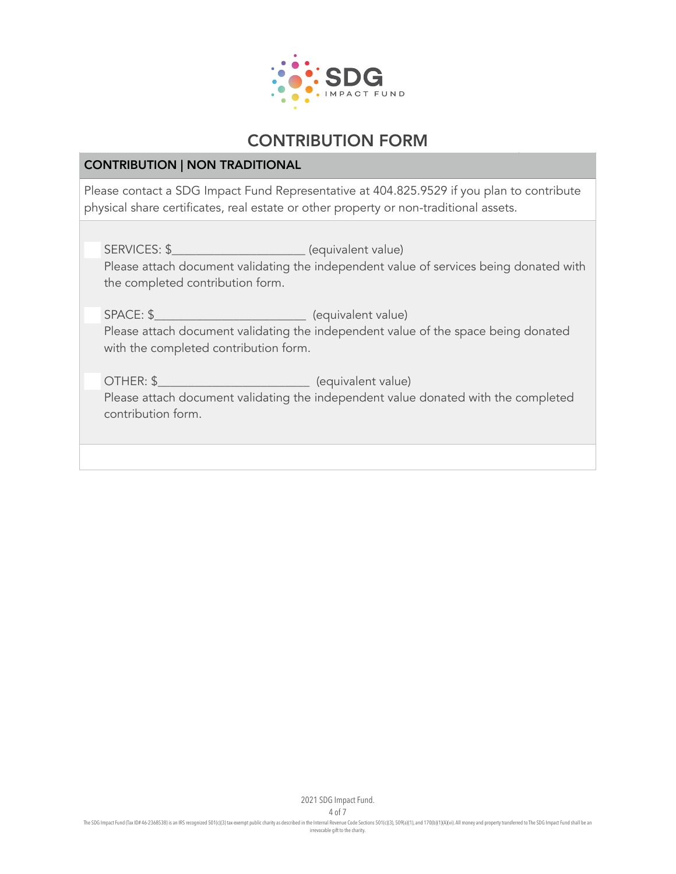

#### CONTRIBUTION | NON TRADITIONAL

Please contact a SDG Impact Fund Representative at 404.825.9529 if you plan to contribute physical share certificates, real estate or other property or non-traditional assets.

SERVICES: \$\_\_\_\_\_\_\_\_\_\_\_\_\_\_\_\_\_\_\_\_\_\_ (equivalent value) Please attach document validating the independent value of services being donated with the completed contribution form.

SPACE: \$ Please attach document validating the independent value of the space being donated with the completed contribution form.

OTHER: \$\_\_\_\_\_\_\_\_\_\_\_\_\_\_\_\_\_\_\_\_\_\_\_\_\_ (equivalent value) Please attach document validating the independent value donated with the completed contribution form.

2021 SDG Impact Fund.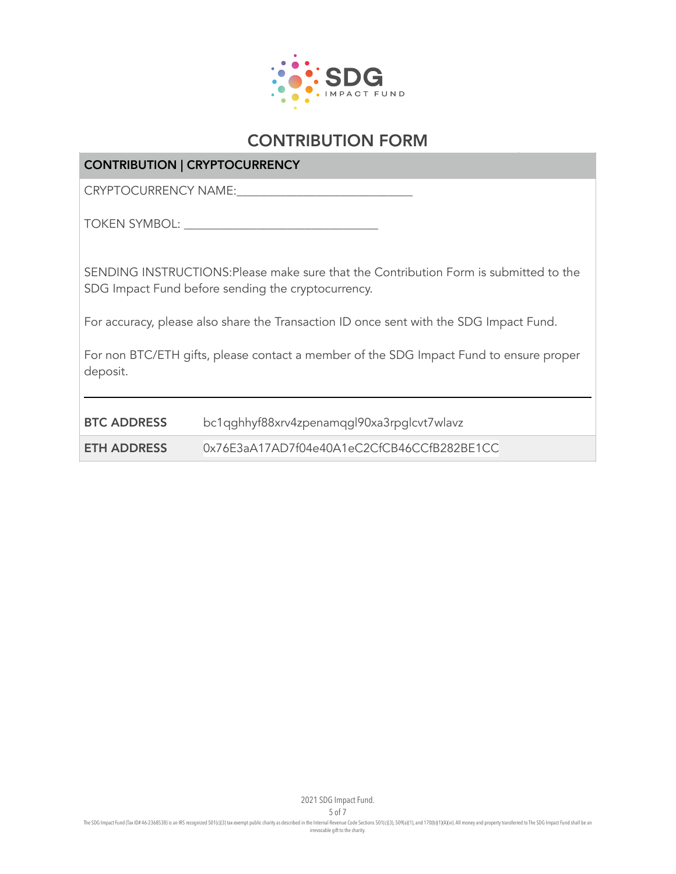

### CONTRIBUTION | CRYPTOCURRENCY

CRYPTOCURRENCY NAME:

TOKEN SYMBOL: \_\_\_\_\_\_\_\_\_\_\_\_\_\_\_\_\_\_\_\_\_\_\_\_\_\_\_\_\_\_\_\_

SENDING INSTRUCTIONS:Please make sure that the Contribution Form is submitted to the SDG Impact Fund before sending the cryptocurrency.

For accuracy, please also share the Transaction ID once sent with the SDG Impact Fund.

For non BTC/ETH gifts, please contact a member of the SDG Impact Fund to ensure proper deposit.

| <b>BTC ADDRESS</b> | bc1qghhyf88xrv4zpenamqgl90xa3rpglcvt7wlavz |
|--------------------|--------------------------------------------|
| ETH ADDRESS        | 0x76E3aA17AD7f04e40A1eC2CfCB46CCfB282BE1CC |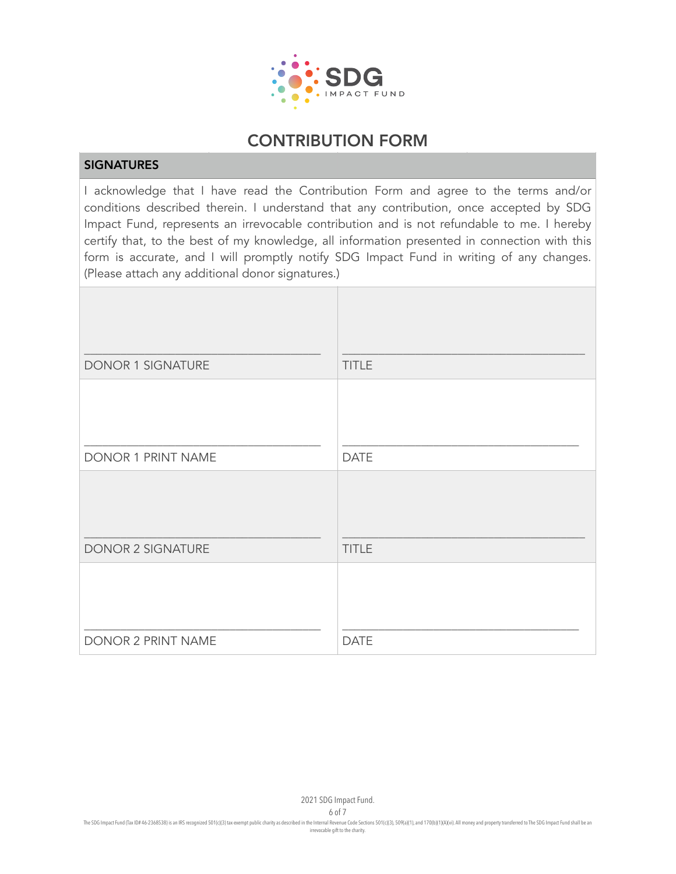

#### **SIGNATURES**

I acknowledge that I have read the Contribution Form and agree to the terms and/or conditions described therein. I understand that any contribution, once accepted by SDG Impact Fund, represents an irrevocable contribution and is not refundable to me. I hereby certify that, to the best of my knowledge, all information presented in connection with this form is accurate, and I will promptly notify SDG Impact Fund in writing of any changes. (Please attach any additional donor signatures.)

| DONOR 1 SIGNATURE  | <b>TITLE</b> |
|--------------------|--------------|
|                    |              |
| DONOR 1 PRINT NAME | <b>DATE</b>  |
|                    |              |
| DONOR 2 SIGNATURE  | <b>TITLE</b> |
|                    |              |
| DONOR 2 PRINT NAME | <b>DATE</b>  |